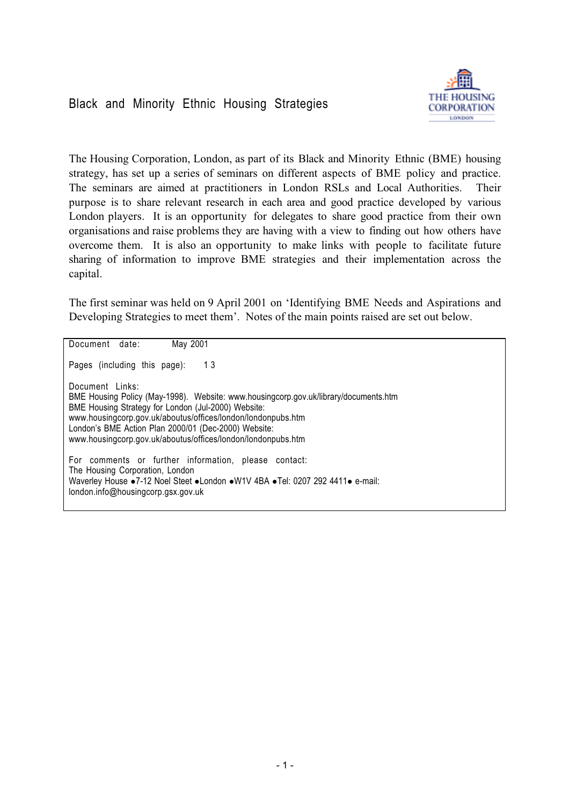

The Housing Corporation, London, as part of its Black and Minority Ethnic (BME) housing strategy, has set up a series of seminars on different aspects of BME policy and practice. The seminars are aimed at practitioners in London RSLs and Local Authorities. Their purpose is to share relevant research in each area and good practice developed by various London players. It is an opportunity for delegates to share good practice from their own organisations and raise problems they are having with a view to finding out how others have overcome them. It is also an opportunity to make links with people to facilitate future sharing of information to improve BME strategies and their implementation across the capital.

The first seminar was held on 9 April 2001 on 'Identifying BME Needs and Aspirations and Developing Strategies to meet them'. Notes of the main points raised are set out below.

Document date: May 2001 Pages (including this page): 13 Document Links: BME Housing Policy (May-1998). Website: www.housingcorp.gov.uk/library/documents.htm BME Housing Strategy for London (Jul-2000) Website: www.housingcorp.gov.uk/aboutus/offices/london/londonpubs.htm London's BME Action Plan 2000/01 (Dec-2000) Website: www.housingcorp.gov.uk/aboutus/offices/london/londonpubs.htm For comments or further information, please contact: The Housing Corporation, London Waverley House •7-12 Noel Steet •London •W1V 4BA •Tel: 0207 292 4411• e-mail: london.info@housingcorp.gsx.gov.uk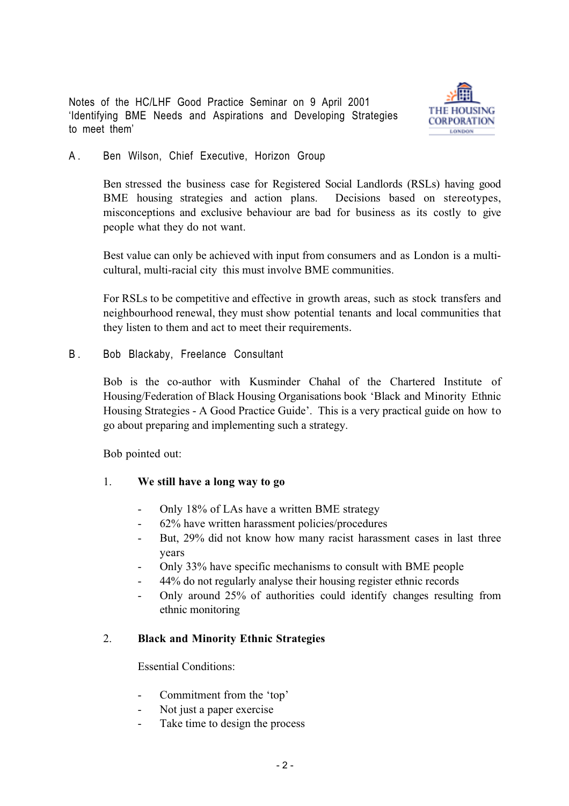Notes of the HC/LHF Good Practice Seminar on 9 April 2001 'Identifying BME Needs and Aspirations and Developing Strategies to meet them'



A. Ben Wilson, Chief Executive, Horizon Group

Ben stressed the business case for Registered Social Landlords (RSLs) having good BME housing strategies and action plans. Decisions based on stereotypes, misconceptions and exclusive behaviour are bad for business as its costly to give people what they do not want.

Best value can only be achieved with input from consumers and as London is a multicultural, multi-racial city this must involve BME communities.

For RSLs to be competitive and effective in growth areas, such as stock transfers and neighbourhood renewal, they must show potential tenants and local communities that they listen to them and act to meet their requirements.

B. Bob Blackaby, Freelance Consultant

Bob is the co-author with Kusminder Chahal of the Chartered Institute of Housing/Federation of Black Housing Organisations book 'Black and Minority Ethnic Housing Strategies - A Good Practice Guide'. This is a very practical guide on how to go about preparing and implementing such a strategy.

Bob pointed out:

- 1. **We still have a long way to go**
	- Only 18% of LAs have a written BME strategy
	- 62% have written harassment policies/procedures
	- But, 29% did not know how many racist harassment cases in last three years
	- Only 33% have specific mechanisms to consult with BME people
	- 44% do not regularly analyse their housing register ethnic records
	- Only around 25% of authorities could identify changes resulting from ethnic monitoring

#### 2. **Black and Minority Ethnic Strategies**

Essential Conditions:

- Commitment from the 'top'
- Not just a paper exercise
- Take time to design the process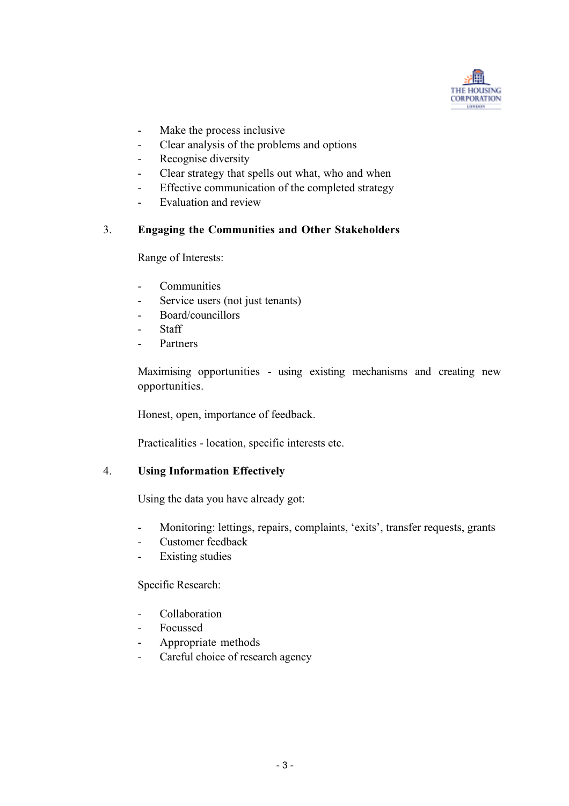

- Make the process inclusive
- Clear analysis of the problems and options
- Recognise diversity
- Clear strategy that spells out what, who and when
- Effective communication of the completed strategy
- Evaluation and review

# 3. **Engaging the Communities and Other Stakeholders**

Range of Interests:

- Communities
- Service users (not just tenants)
- Board/councillors
- Staff
- **Partners**

Maximising opportunities - using existing mechanisms and creating new opportunities.

Honest, open, importance of feedback.

Practicalities - location, specific interests etc.

#### 4. **Using Information Effectively**

Using the data you have already got:

- Monitoring: lettings, repairs, complaints, 'exits', transfer requests, grants
- Customer feedback
- Existing studies

Specific Research:

- Collaboration
- Focussed
- Appropriate methods
- Careful choice of research agency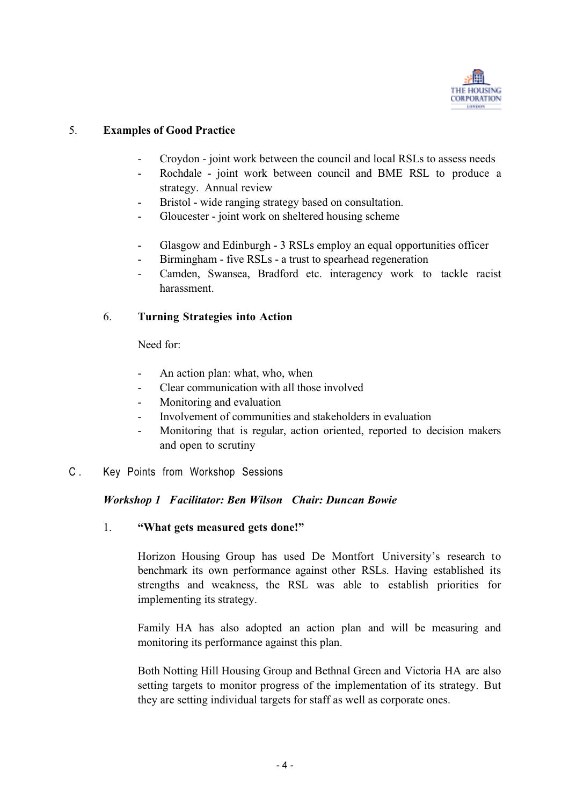

## 5. **Examples of Good Practice**

- Croydon joint work between the council and local RSLs to assess needs
- Rochdale joint work between council and BME RSL to produce a strategy. Annual review
- Bristol wide ranging strategy based on consultation.
- Gloucester joint work on sheltered housing scheme
- Glasgow and Edinburgh 3 RSLs employ an equal opportunities officer
- Birmingham five RSLs a trust to spearhead regeneration
- Camden, Swansea, Bradford etc. interagency work to tackle racist harassment.

# 6. **Turning Strategies into Action**

Need for:

- An action plan: what, who, when
- Clear communication with all those involved
- Monitoring and evaluation
- Involvement of communities and stakeholders in evaluation
- Monitoring that is regular, action oriented, reported to decision makers and open to scrutiny
- C . Key Points from Workshop Sessions

#### *Workshop 1 Facilitator: Ben Wilson Chair: Duncan Bowie*

1. **"What gets measured gets done!"**

Horizon Housing Group has used De Montfort University's research to benchmark its own performance against other RSLs. Having established its strengths and weakness, the RSL was able to establish priorities for implementing its strategy.

Family HA has also adopted an action plan and will be measuring and monitoring its performance against this plan.

Both Notting Hill Housing Group and Bethnal Green and Victoria HA are also setting targets to monitor progress of the implementation of its strategy. But they are setting individual targets for staff as well as corporate ones.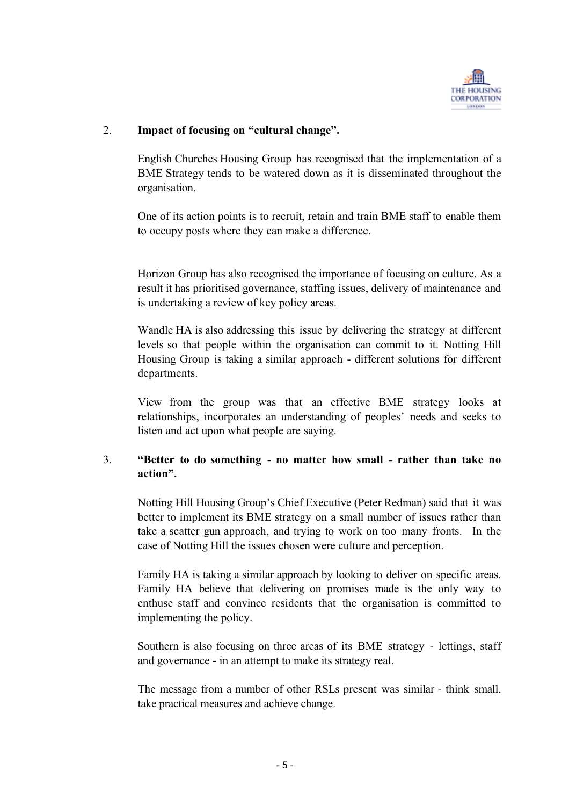

## 2. **Impact of focusing on "cultural change".**

English Churches Housing Group has recognised that the implementation of a BME Strategy tends to be watered down as it is disseminated throughout the organisation.

One of its action points is to recruit, retain and train BME staff to enable them to occupy posts where they can make a difference.

Horizon Group has also recognised the importance of focusing on culture. As a result it has prioritised governance, staffing issues, delivery of maintenance and is undertaking a review of key policy areas.

Wandle HA is also addressing this issue by delivering the strategy at different levels so that people within the organisation can commit to it. Notting Hill Housing Group is taking a similar approach - different solutions for different departments.

View from the group was that an effective BME strategy looks at relationships, incorporates an understanding of peoples' needs and seeks to listen and act upon what people are saying.

# 3. **"Better to do something - no matter how small - rather than take no action".**

Notting Hill Housing Group's Chief Executive (Peter Redman) said that it was better to implement its BME strategy on a small number of issues rather than take a scatter gun approach, and trying to work on too many fronts. In the case of Notting Hill the issues chosen were culture and perception.

Family HA is taking a similar approach by looking to deliver on specific areas. Family HA believe that delivering on promises made is the only way to enthuse staff and convince residents that the organisation is committed to implementing the policy.

Southern is also focusing on three areas of its BME strategy - lettings, staff and governance - in an attempt to make its strategy real.

The message from a number of other RSLs present was similar - think small, take practical measures and achieve change.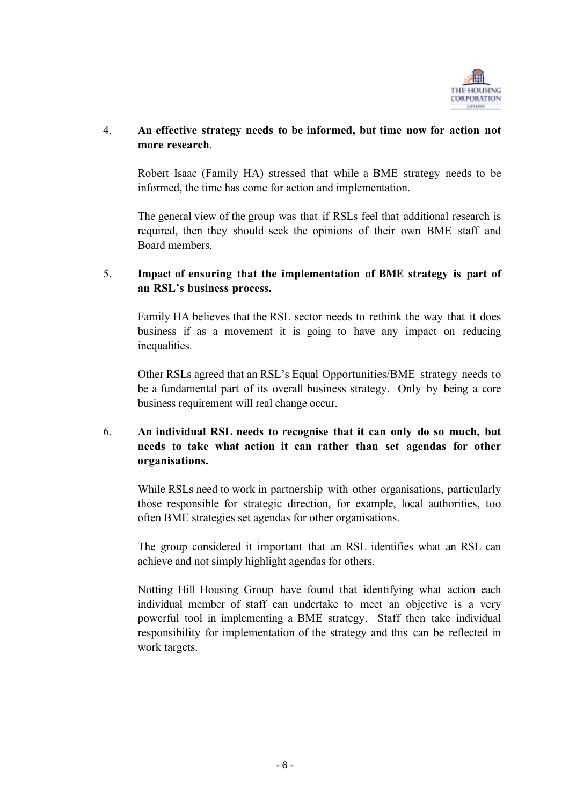

## 4. **An effective strategy needs to be informed, but time now for action not more research**.

Robert Isaac (Family HA) stressed that while a BME strategy needs to be informed, the time has come for action and implementation.

The general view of the group was that if RSLs feel that additional research is required, then they should seek the opinions of their own BME staff and Board members.

## 5. **Impact of ensuring that the implementation of BME strategy is part of an RSL's business process.**

Family HA believes that the RSL sector needs to rethink the way that it does business if as a movement it is going to have any impact on reducing inequalities.

Other RSLs agreed that an RSL's Equal Opportunities/BME strategy needs to be a fundamental part of its overall business strategy. Only by being a core business requirement will real change occur.

# 6. **An individual RSL needs to recognise that it can only do so much, but needs to take what action it can rather than set agendas for other organisations.**

While RSLs need to work in partnership with other organisations, particularly those responsible for strategic direction, for example, local authorities, too often BME strategies set agendas for other organisations.

The group considered it important that an RSL identifies what an RSL can achieve and not simply highlight agendas for others.

Notting Hill Housing Group have found that identifying what action each individual member of staff can undertake to meet an objective is a very powerful tool in implementing a BME strategy. Staff then take individual responsibility for implementation of the strategy and this can be reflected in work targets.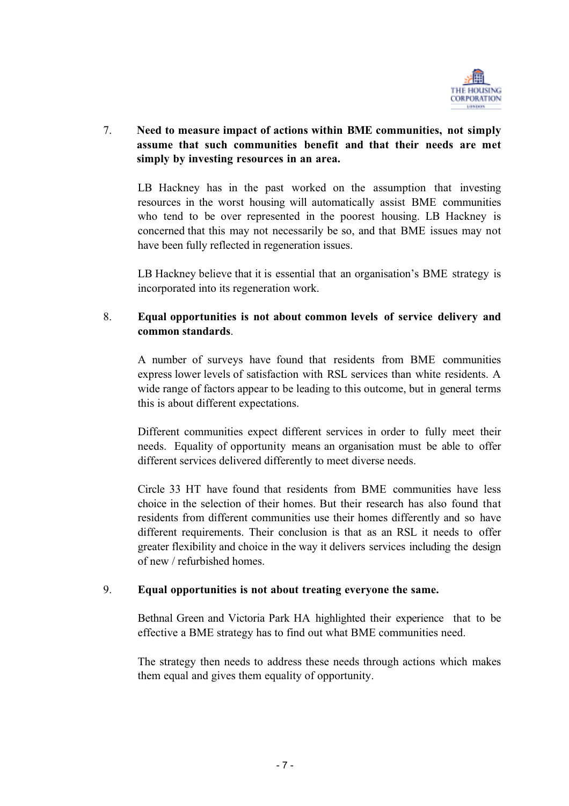

# 7. **Need to measure impact of actions within BME communities, not simply assume that such communities benefit and that their needs are met simply by investing resources in an area.**

LB Hackney has in the past worked on the assumption that investing resources in the worst housing will automatically assist BME communities who tend to be over represented in the poorest housing. LB Hackney is concerned that this may not necessarily be so, and that BME issues may not have been fully reflected in regeneration issues.

LB Hackney believe that it is essential that an organisation's BME strategy is incorporated into its regeneration work.

## 8. **Equal opportunities is not about common levels of service delivery and common standards**.

A number of surveys have found that residents from BME communities express lower levels of satisfaction with RSL services than white residents. A wide range of factors appear to be leading to this outcome, but in general terms this is about different expectations.

Different communities expect different services in order to fully meet their needs. Equality of opportunity means an organisation must be able to offer different services delivered differently to meet diverse needs.

Circle 33 HT have found that residents from BME communities have less choice in the selection of their homes. But their research has also found that residents from different communities use their homes differently and so have different requirements. Their conclusion is that as an RSL it needs to offer greater flexibility and choice in the way it delivers services including the design of new / refurbished homes.

#### 9. **Equal opportunities is not about treating everyone the same.**

Bethnal Green and Victoria Park HA highlighted their experience that to be effective a BME strategy has to find out what BME communities need.

The strategy then needs to address these needs through actions which makes them equal and gives them equality of opportunity.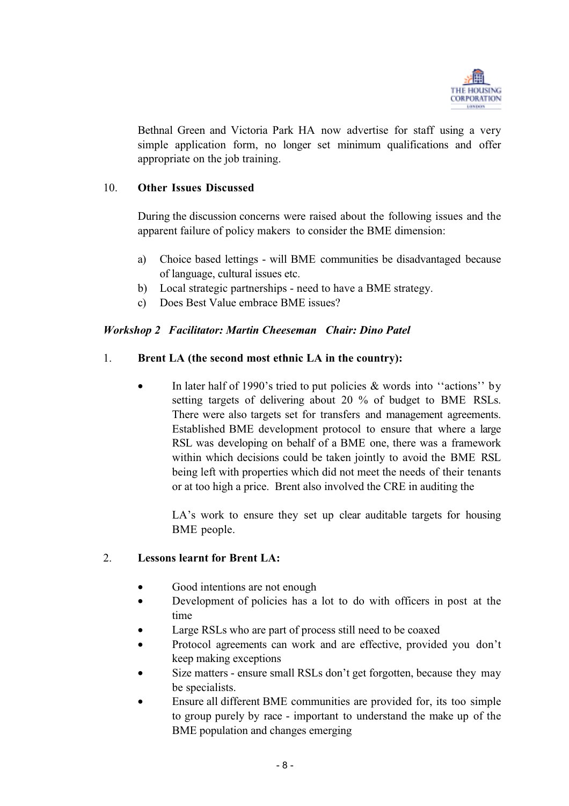

Bethnal Green and Victoria Park HA now advertise for staff using a very simple application form, no longer set minimum qualifications and offer appropriate on the job training.

#### 10. **Other Issues Discussed**

During the discussion concerns were raised about the following issues and the apparent failure of policy makers to consider the BME dimension:

- a) Choice based lettings will BME communities be disadvantaged because of language, cultural issues etc.
- b) Local strategic partnerships need to have a BME strategy.
- c) Does Best Value embrace BME issues?

# *Workshop 2 Facilitator: Martin Cheeseman Chair: Dino Patel*

# 1. **Brent LA (the second most ethnic LA in the country):**

• In later half of 1990's tried to put policies & words into "actions" by setting targets of delivering about 20 % of budget to BME RSLs. There were also targets set for transfers and management agreements. Established BME development protocol to ensure that where a large RSL was developing on behalf of a BME one, there was a framework within which decisions could be taken jointly to avoid the BME RSL being left with properties which did not meet the needs of their tenants or at too high a price. Brent also involved the CRE in auditing the

LA's work to ensure they set up clear auditable targets for housing BME people.

#### 2. **Lessons learnt for Brent LA:**

- Good intentions are not enough
- Development of policies has a lot to do with officers in post at the time
- Large RSLs who are part of process still need to be coaxed
- Protocol agreements can work and are effective, provided you don't keep making exceptions
- Size matters ensure small RSLs don't get forgotten, because they may be specialists.
- Ensure all different BME communities are provided for, its too simple to group purely by race - important to understand the make up of the BME population and changes emerging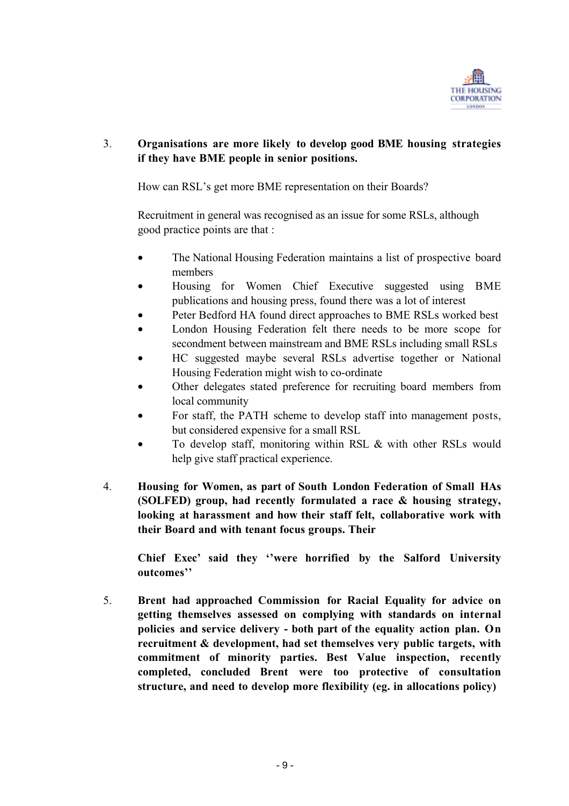

# 3. **Organisations are more likely to develop good BME housing strategies if they have BME people in senior positions.**

How can RSL's get more BME representation on their Boards?

Recruitment in general was recognised as an issue for some RSLs, although good practice points are that :

- The National Housing Federation maintains a list of prospective board members
- Housing for Women Chief Executive suggested using BME publications and housing press, found there was a lot of interest
- Peter Bedford HA found direct approaches to BME RSLs worked best
- London Housing Federation felt there needs to be more scope for secondment between mainstream and BME RSLs including small RSLs
- HC suggested maybe several RSLs advertise together or National Housing Federation might wish to co-ordinate
- Other delegates stated preference for recruiting board members from local community
- For staff, the PATH scheme to develop staff into management posts, but considered expensive for a small RSL
- To develop staff, monitoring within RSL & with other RSLs would help give staff practical experience.
- 4. **Housing for Women, as part of South London Federation of Small HAs (SOLFED) group, had recently formulated a race & housing strategy, looking at harassment and how their staff felt, collaborative work with their Board and with tenant focus groups. Their**

**Chief Exec' said they ''were horrified by the Salford University outcomes''**

5. **Brent had approached Commission for Racial Equality for advice on getting themselves assessed on complying with standards on internal policies and service delivery - both part of the equality action plan. On recruitment & development, had set themselves very public targets, with commitment of minority parties. Best Value inspection, recently completed, concluded Brent were too protective of consultation structure, and need to develop more flexibility (eg. in allocations policy)**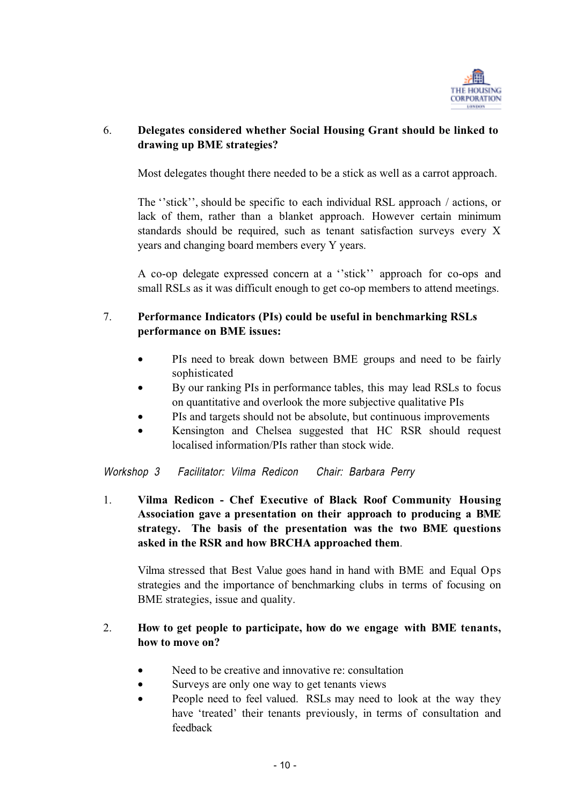

# 6. **Delegates considered whether Social Housing Grant should be linked to drawing up BME strategies?**

Most delegates thought there needed to be a stick as well as a carrot approach.

The ''stick'', should be specific to each individual RSL approach / actions, or lack of them, rather than a blanket approach. However certain minimum standards should be required, such as tenant satisfaction surveys every X years and changing board members every Y years.

A co-op delegate expressed concern at a ''stick'' approach for co-ops and small RSLs as it was difficult enough to get co-op members to attend meetings.

# 7. **Performance Indicators (PIs) could be useful in benchmarking RSLs performance on BME issues:**

- PIs need to break down between BME groups and need to be fairly sophisticated
- By our ranking PIs in performance tables, this may lead RSLs to focus on quantitative and overlook the more subjective qualitative PIs
- PIs and targets should not be absolute, but continuous improvements
- Kensington and Chelsea suggested that HC RSR should request localised information/PIs rather than stock wide.

Workshop 3 Facilitator: Vilma Redicon Chair: Barbara Perry

1. **Vilma Redicon - Chef Executive of Black Roof Community Housing Association gave a presentation on their approach to producing a BME strategy. The basis of the presentation was the two BME questions asked in the RSR and how BRCHA approached them**.

Vilma stressed that Best Value goes hand in hand with BME and Equal Ops strategies and the importance of benchmarking clubs in terms of focusing on BME strategies, issue and quality.

# 2. **How to get people to participate, how do we engage with BME tenants, how to move on?**

- Need to be creative and innovative re: consultation
- Surveys are only one way to get tenants views
- People need to feel valued. RSLs may need to look at the way they have 'treated' their tenants previously, in terms of consultation and feedback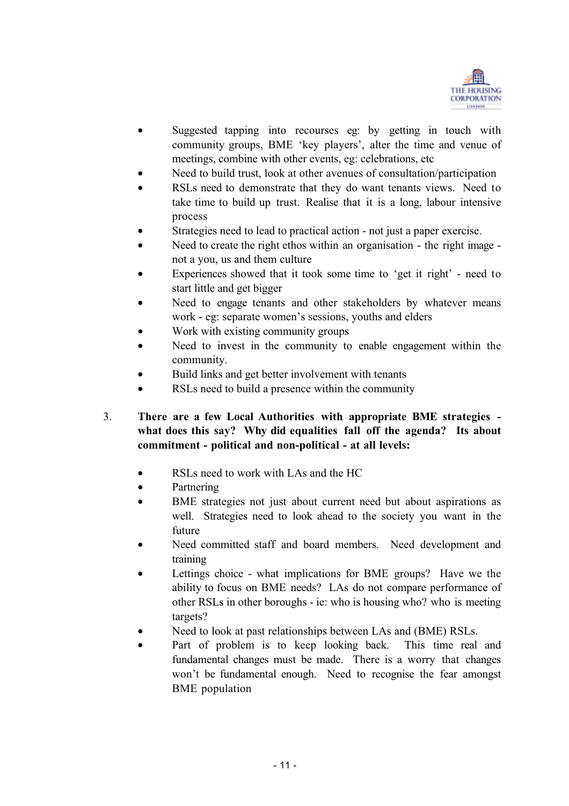

- Suggested tapping into recourses eg: by getting in touch with community groups, BME 'key players', alter the time and venue of meetings, combine with other events, eg: celebrations, etc
- Need to build trust, look at other avenues of consultation/participation
- RSLs need to demonstrate that they do want tenants views. Need to take time to build up trust. Realise that it is a long, labour intensive process
- Strategies need to lead to practical action not just a paper exercise.
- Need to create the right ethos within an organisation the right image not a you, us and them culture
- Experiences showed that it took some time to 'get it right' need to start little and get bigger
- Need to engage tenants and other stakeholders by whatever means work - eg: separate women's sessions, youths and elders
- Work with existing community groups
- Need to invest in the community to enable engagement within the community.
- Build links and get better involvement with tenants
- RSLs need to build a presence within the community
- 3. **There are a few Local Authorities with appropriate BME strategies what does this say? Why did equalities fall off the agenda? Its about commitment - political and non-political - at all levels:**
	- RSLs need to work with LAs and the HC
	- **Partnering**
	- BME strategies not just about current need but about aspirations as well. Strategies need to look ahead to the society you want in the future
	- Need committed staff and board members. Need development and training
	- Lettings choice what implications for BME groups? Have we the ability to focus on BME needs? LAs do not compare performance of other RSLs in other boroughs - ie: who is housing who? who is meeting targets?
	- Need to look at past relationships between LAs and (BME) RSLs.
	- Part of problem is to keep looking back. This time real and fundamental changes must be made. There is a worry that changes won't be fundamental enough. Need to recognise the fear amongst BME population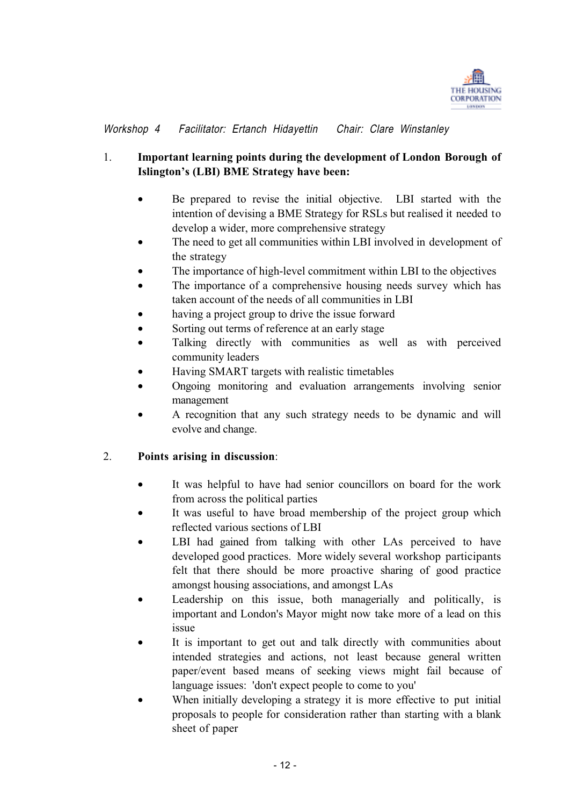

Workshop 4 Facilitator: Ertanch Hidayettin Chair: Clare Winstanley

# 1. **Important learning points during the development of London Borough of Islington's (LBI) BME Strategy have been:**

- Be prepared to revise the initial objective. LBI started with the intention of devising a BME Strategy for RSLs but realised it needed to develop a wider, more comprehensive strategy
- The need to get all communities within LBI involved in development of the strategy
- The importance of high-level commitment within LBI to the objectives
- The importance of a comprehensive housing needs survey which has taken account of the needs of all communities in LBI
- having a project group to drive the issue forward
- Sorting out terms of reference at an early stage
- Talking directly with communities as well as with perceived community leaders
- Having SMART targets with realistic timetables
- Ongoing monitoring and evaluation arrangements involving senior management
- A recognition that any such strategy needs to be dynamic and will evolve and change.

#### 2. **Points arising in discussion**:

- It was helpful to have had senior councillors on board for the work from across the political parties
- It was useful to have broad membership of the project group which reflected various sections of LBI
- LBI had gained from talking with other LAs perceived to have developed good practices. More widely several workshop participants felt that there should be more proactive sharing of good practice amongst housing associations, and amongst LAs
- Leadership on this issue, both managerially and politically, is important and London's Mayor might now take more of a lead on this issue
- It is important to get out and talk directly with communities about intended strategies and actions, not least because general written paper/event based means of seeking views might fail because of language issues: 'don't expect people to come to you'
- When initially developing a strategy it is more effective to put initial proposals to people for consideration rather than starting with a blank sheet of paper